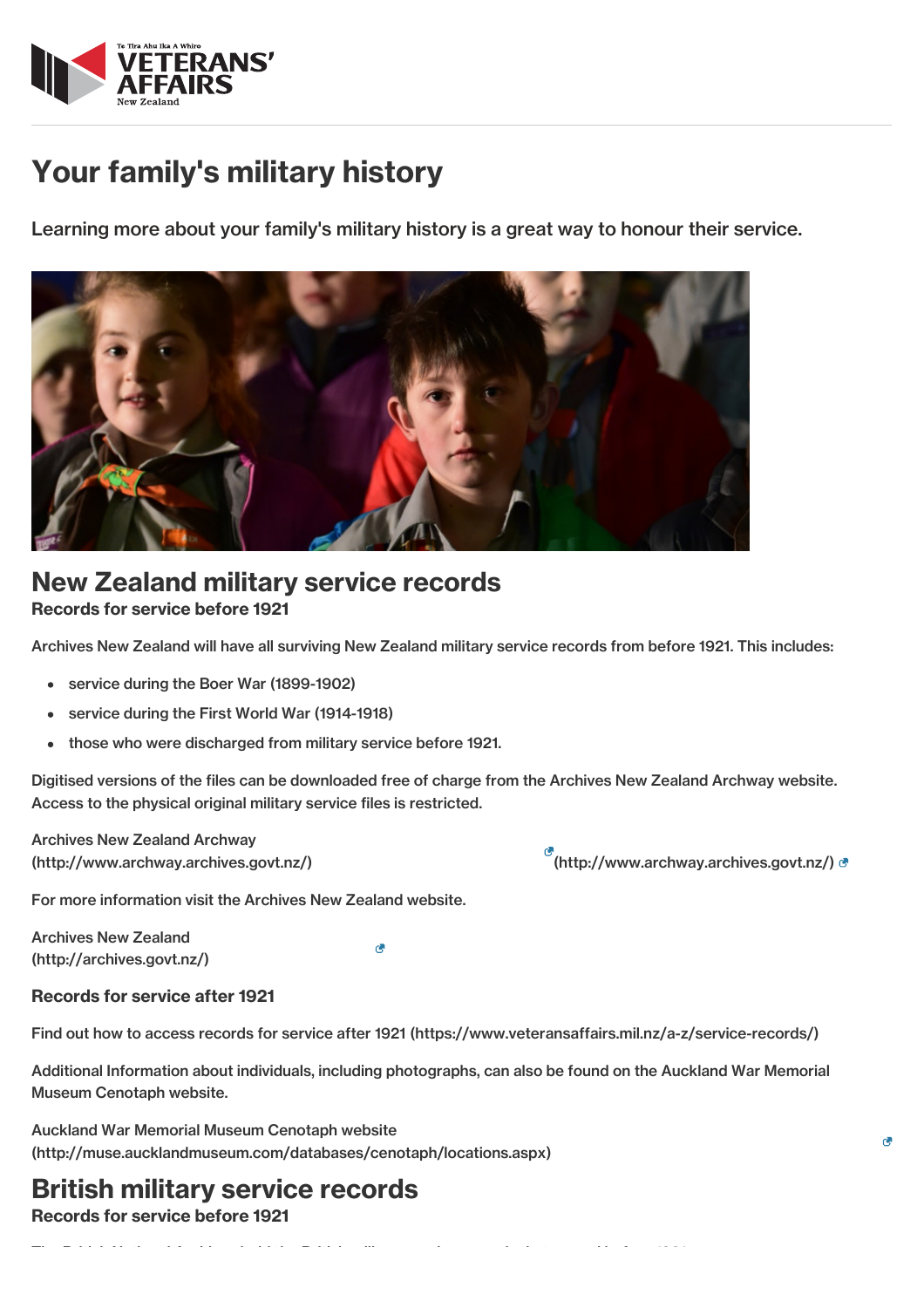

# Your family's military history

Learning more about your family's military history is a great way to honour their service.



# New Zealand military service records

### Records for service before 1921

Archives New Zealand will have all surviving New Zealand military service records from before 1921. This includes:

- service during the Boer War (1899-1902)
- service during the First World War (1914-1918)  $\bullet$
- those who were discharged from military service before 1921.

Digitised versions of the files can be downloaded free of charge from the Archives New Zealand Archway website. Access to the physical original military service files is restricted.

Archives New Zealand Archway [\(http://www.archway.archives.govt.nz/\)](http://www.archway.archives.govt.nz/) [\(http://www.archway.archives.govt.nz/\)](http://www.archway.archives.govt.nz/)

For more information visit the Archives New Zealand website.

Archives New Zealand [\(http://archives.govt.nz/\)](http://archives.govt.nz/)

к.

The British National Archives hold the British military service records that served before 1921.

### Records for service after 1921

Find out how to access records for service after 1921 [\(https://www.veteransaffairs.mil.nz/a-z/service-records/\)](http://veteransaffairs.mil.nz/a-z/service-records/)

Additional Information about individuals, including photographs, can also be found on the Auckland War Memorial Museum Cenotaph website.

Auckland War Memorial Museum Cenotaph website [\(http://muse.aucklandmuseum.com/databases/cenotaph/locations.aspx\)](http://muse.aucklandmuseum.com/databases/cenotaph/locations.aspx)

# British military service records

Records for service before 1921

r.